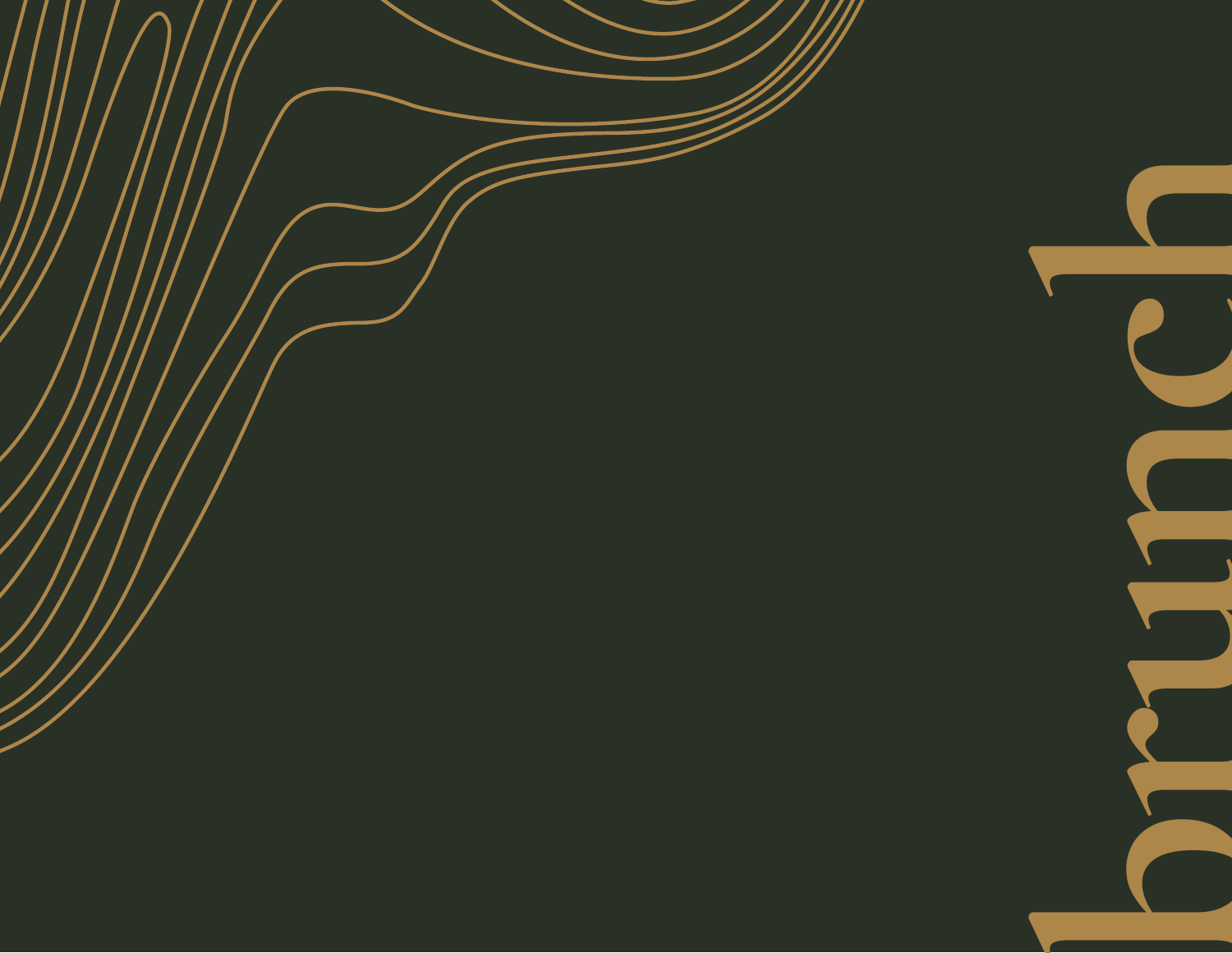